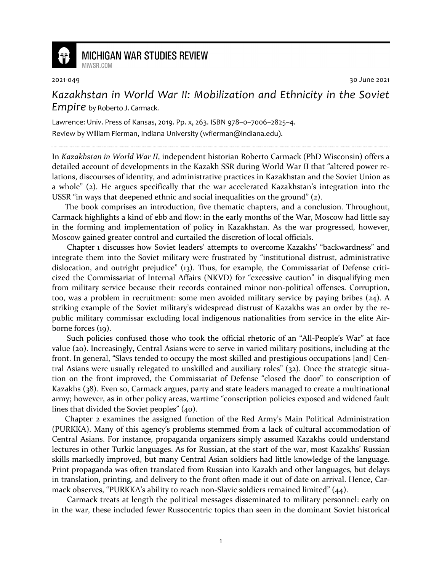

## **MICHIGAN WAR STUDIES REVIEW** MiWSR COM

2021-049 30 June 2021

*Kazakhstan in World War II: Mobilization and Ethnicity in the Soviet Empire* by Roberto J. Carmack.

Lawrence: Univ. Press of Kansas, 2019. Pp. x, 263. ISBN 978–0–7006–2825–4. Review by William Fierman, Indiana University (wfierman@indiana.edu).

In *Kazakhstan in World War II*, independent historian Roberto Carmack (PhD Wisconsin) offers a detailed account of developments in the Kazakh SSR during World War II that "altered power relations, discourses of identity, and administrative practices in Kazakhstan and the Soviet Union as a whole" (2). He argues specifically that the war accelerated Kazakhstan's integration into the USSR "in ways that deepened ethnic and social inequalities on the ground" (2).

The book comprises an introduction, five thematic chapters, and a conclusion. Throughout, Carmack highlights a kind of ebb and flow: in the early months of the War, Moscow had little say in the forming and implementation of policy in Kazakhstan. As the war progressed, however, Moscow gained greater control and curtailed the discretion of local officials.

 Chapter 1 discusses how Soviet leaders' attempts to overcome Kazakhs' "backwardness" and integrate them into the Soviet military were frustrated by "institutional distrust, administrative dislocation, and outright prejudice" (13). Thus, for example, the Commissariat of Defense criticized the Commissariat of Internal Affairs (NKVD) for "excessive caution" in disqualifying men from military service because their records contained minor non-political offenses. Corruption, too, was a problem in recruitment: some men avoided military service by paying bribes  $(24)$ . A striking example of the Soviet military's widespread distrust of Kazakhs was an order by the republic military commissar excluding local indigenous nationalities from service in the elite Airborne forces (19).

 Such policies confused those who took the official rhetoric of an "All-People's War" at face value (20). Increasingly, Central Asians were to serve in varied military positions, including at the front. In general, "Slavs tended to occupy the most skilled and prestigious occupations [and] Central Asians were usually relegated to unskilled and auxiliary roles" (32). Once the strategic situation on the front improved, the Commissariat of Defense "closed the door" to conscription of Kazakhs (38). Even so, Carmack argues, party and state leaders managed to create a multinational army; however, as in other policy areas, wartime "conscription policies exposed and widened fault lines that divided the Soviet peoples" (40).

Chapter 2 examines the assigned function of the Red Army's Main Political Administration (PURKKA). Many of this agency's problems stemmed from a lack of cultural accommodation of Central Asians. For instance, propaganda organizers simply assumed Kazakhs could understand lectures in other Turkic languages. As for Russian, at the start of the war, most Kazakhs' Russian skills markedly improved, but many Central Asian soldiers had little knowledge of the language. Print propaganda was often translated from Russian into Kazakh and other languages, but delays in translation, printing, and delivery to the front often made it out of date on arrival. Hence, Carmack observes, "PURKKA's ability to reach non-Slavic soldiers remained limited" (44).

 Carmack treats at length the political messages disseminated to military personnel: early on in the war, these included fewer Russocentric topics than seen in the dominant Soviet historical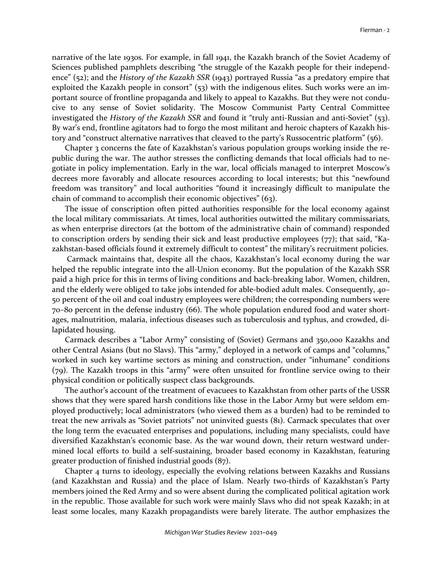narrative of the late 1930s. For example, in fall 1941, the Kazakh branch of the Soviet Academy of Sciences published pamphlets describing "the struggle of the Kazakh people for their independence" (52); and the *History of the Kazakh SSR* (1943) portrayed Russia "as a predatory empire that exploited the Kazakh people in consort" (53) with the indigenous elites. Such works were an important source of frontline propaganda and likely to appeal to Kazakhs. But they were not conducive to any sense of Soviet solidarity. The Moscow Communist Party Central Committee investigated the *History of the Kazakh SSR* and found it "truly anti-Russian and anti-Soviet" (53). By war's end, frontline agitators had to forgo the most militant and heroic chapters of Kazakh history and "construct alternative narratives that cleaved to the party's Russocentric platform" (56).

Chapter 3 concerns the fate of Kazakhstan's various population groups working inside the republic during the war. The author stresses the conflicting demands that local officials had to negotiate in policy implementation. Early in the war, local officials managed to interpret Moscow's decrees more favorably and allocate resources according to local interests; but this "newfound freedom was transitory" and local authorities "found it increasingly difficult to manipulate the chain of command to accomplish their economic objectives" (63).

The issue of conscription often pitted authorities responsible for the local economy against the local military commissariats. At times, local authorities outwitted the military commissariats, as when enterprise directors (at the bottom of the administrative chain of command) responded to conscription orders by sending their sick and least productive employees (77); that said, "Kazakhstan-based officials found it extremely difficult to contest" the military's recruitment policies.

 Carmack maintains that, despite all the chaos, Kazakhstan's local economy during the war helped the republic integrate into the all-Union economy. But the population of the Kazakh SSR paid a high price for this in terms of living conditions and back-breaking labor. Women, children, and the elderly were obliged to take jobs intended for able-bodied adult males. Consequently, 40– 50 percent of the oil and coal industry employees were children; the corresponding numbers were 70–80 percent in the defense industry (66). The whole population endured food and water shortages, malnutrition, malaria, infectious diseases such as tuberculosis and typhus, and crowded, dilapidated housing.

Carmack describes a "Labor Army" consisting of (Soviet) Germans and 350,000 Kazakhs and other Central Asians (but no Slavs). This "army," deployed in a network of camps and "columns," worked in such key wartime sectors as mining and construction, under "inhumane" conditions (79). The Kazakh troops in this "army" were often unsuited for frontline service owing to their physical condition or politically suspect class backgrounds.

The author's account of the treatment of evacuees to Kazakhstan from other parts of the USSR shows that they were spared harsh conditions like those in the Labor Army but were seldom employed productively; local administrators (who viewed them as a burden) had to be reminded to treat the new arrivals as "Soviet patriots" not uninvited guests (81). Carmack speculates that over the long term the evacuated enterprises and populations, including many specialists, could have diversified Kazakhstan's economic base. As the war wound down, their return westward undermined local efforts to build a self-sustaining, broader based economy in Kazakhstan, featuring greater production of finished industrial goods (87).

Chapter 4 turns to ideology, especially the evolving relations between Kazakhs and Russians (and Kazakhstan and Russia) and the place of Islam. Nearly two-thirds of Kazakhstan's Party members joined the Red Army and so were absent during the complicated political agitation work in the republic. Those available for such work were mainly Slavs who did not speak Kazakh; in at least some locales, many Kazakh propagandists were barely literate. The author emphasizes the